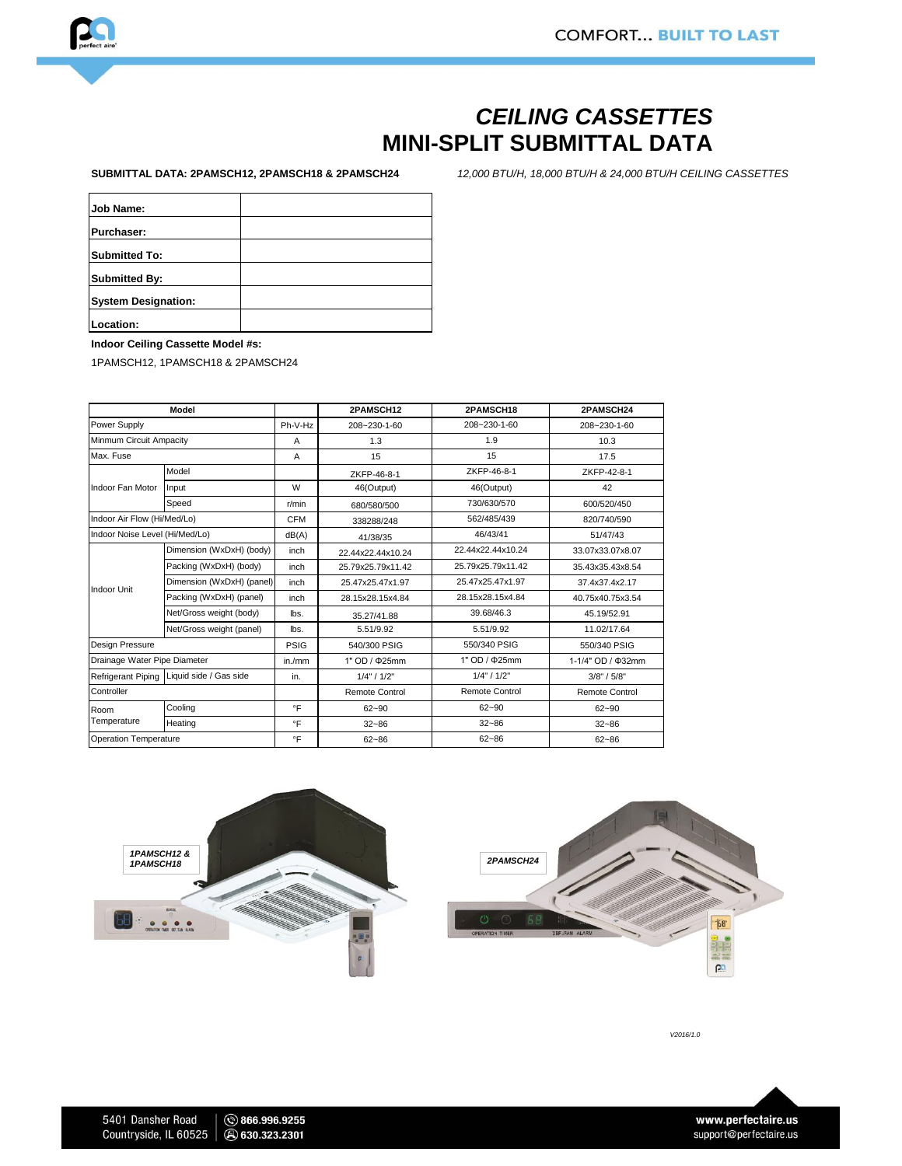

## *CEILING CASSETTES* **MINI-SPLIT SUBMITTAL DATA**

**SUBMITTAL DATA: 2PAMSCH12, 2PAMSCH18 & 2PAMSCH24**

*12,000 BTU/H, 18,000 BTU/H & 24,000 BTU/H CEILING CASSETTES* 

| Job Name:                  |  |
|----------------------------|--|
|                            |  |
| <b>Purchaser:</b>          |  |
|                            |  |
| <b>Submitted To:</b>       |  |
|                            |  |
| <b>Submitted By:</b>       |  |
|                            |  |
| <b>System Designation:</b> |  |
|                            |  |
| Location:                  |  |

**Indoor Ceiling Cassette Model #s:** 

1PAMSCH12, 1PAMSCH18 & 2PAMSCH24

| Model                          |                                           |             | 2PAMSCH12             | 2PAMSCH18             | 2PAMSCH24             |
|--------------------------------|-------------------------------------------|-------------|-----------------------|-----------------------|-----------------------|
| Power Supply                   |                                           | Ph-V-Hz     | $208 - 230 - 1 - 60$  | 208~230-1-60          | 208~230-1-60          |
| Minmum Circuit Ampacity        |                                           | Α           | 1.3                   | 1.9                   | 10.3                  |
| Max. Fuse                      |                                           | A           | 15                    | 15                    | 17.5                  |
| Indoor Fan Motor               | Model                                     |             | ZKFP-46-8-1           | ZKFP-46-8-1           | ZKFP-42-8-1           |
|                                | Input                                     | W           | 46(Output)            | 46(Output)            | 42                    |
|                                | Speed                                     | r/min       | 680/580/500           | 730/630/570           | 600/520/450           |
| Indoor Air Flow (Hi/Med/Lo)    |                                           | <b>CFM</b>  | 338288/248            | 562/485/439           | 820/740/590           |
| Indoor Noise Level (Hi/Med/Lo) |                                           | dB(A)       | 41/38/35              | 46/43/41              | 51/47/43              |
| <b>Indoor Unit</b>             | Dimension (WxDxH) (body)                  | inch        | 22.44x22.44x10.24     | 22.44x22.44x10.24     | 33.07x33.07x8.07      |
|                                | Packing (WxDxH) (body)                    | inch        | 25.79x25.79x11.42     | 25.79x25.79x11.42     | 35.43x35.43x8.54      |
|                                | Dimension (WxDxH) (panel)                 | inch        | 25.47x25.47x1.97      | 25.47x25.47x1.97      | 37.4x37.4x2.17        |
|                                | Packing (WxDxH) (panel)                   | inch        | 28.15x28.15x4.84      | 28.15x28.15x4.84      | 40.75x40.75x3.54      |
|                                | Net/Gross weight (body)                   | lbs.        | 35.27/41.88           | 39.68/46.3            | 45.19/52.91           |
|                                | Net/Gross weight (panel)                  | lbs.        | 5.51/9.92             | 5.51/9.92             | 11.02/17.64           |
| <b>Design Pressure</b>         |                                           | <b>PSIG</b> | 540/300 PSIG          | 550/340 PSIG          | 550/340 PSIG          |
| Drainage Water Pipe Diameter   |                                           | in./mm      | 1" OD / $\Phi$ 25mm   | 1" OD / $\Phi$ 25mm   | 1-1/4" OD / Φ32mm     |
|                                | Refrigerant Piping Liquid side / Gas side | in.         | 1/4" / 1/2"           | 1/4" / 1/2"           | 3/8" / 5/8"           |
| Controller                     |                                           |             | <b>Remote Control</b> | <b>Remote Control</b> | <b>Remote Control</b> |
| Room<br>Temperature            | Cooling                                   | $\circ$ F   | $62 - 90$             | $62 - 90$             | $62 - 90$             |
|                                | Heating                                   | $\circ$ F   | $32 - 86$             | $32 - 86$             | $32 - 86$             |
| <b>Operation Temperature</b>   |                                           | $\circ$ F   | $62 - 86$             | $62 - 86$             | $62 - 86$             |





*V2016/1.0*